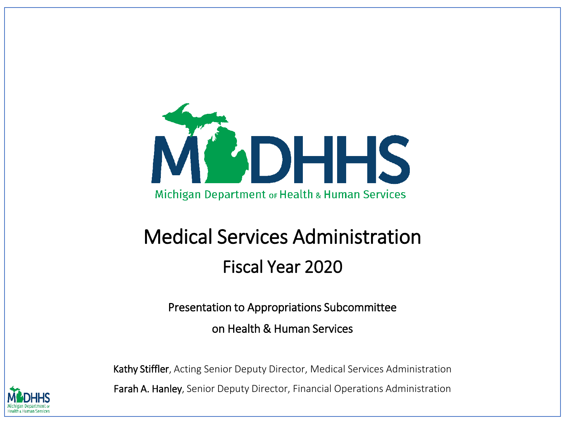

#### Medical Services Administration Fiscal Year 2020

Presentation to Appropriations Subcommittee

on Health & Human Services

Kathy Stiffler, Acting Senior Deputy Director, Medical Services Administration Farah A. Hanley, Senior Deputy Director, Financial Operations Administration

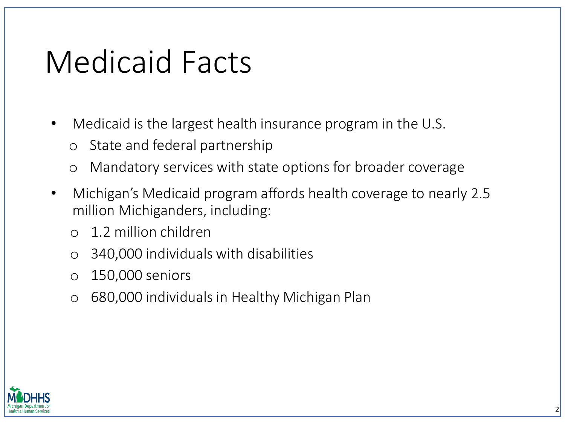### Medicaid Facts

- Medicaid is the largest health insurance program in the U.S.
	- o State and federal partnership
	- o Mandatory services with state options for broader coverage
- Michigan's Medicaid program affords health coverage to nearly 2.5 million Michiganders, including:
	- o 1.2 million children
	- o 340,000 individuals with disabilities
	- o 150,000 seniors
	- o 680,000 individuals in Healthy Michigan Plan

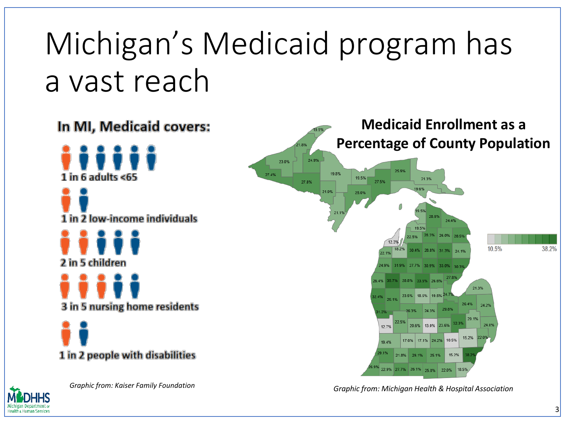# Michigan's Medicaid program has a vast reach





*Graphic from: Kaiser Family Foundation Graphic from: Michigan Health & Hospital Association*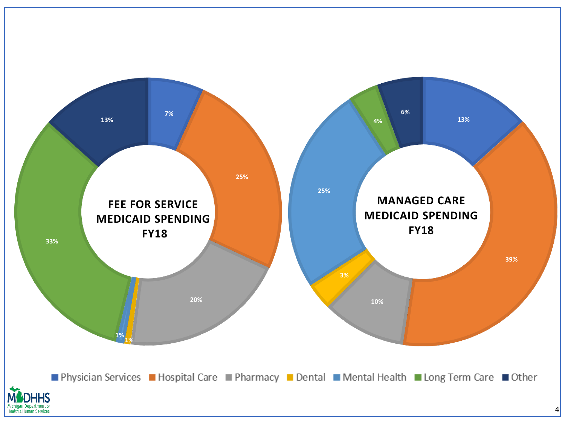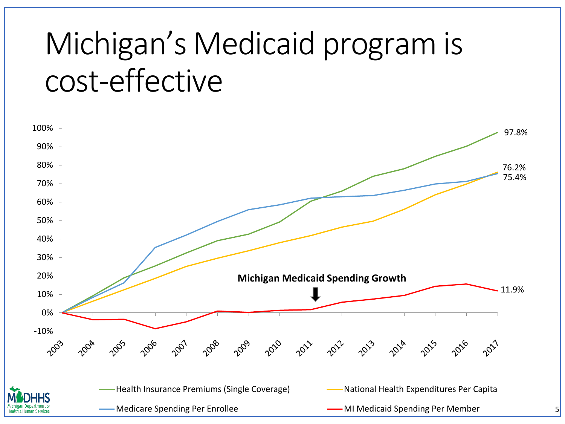## Michigan's Medicaid program is cost-effective

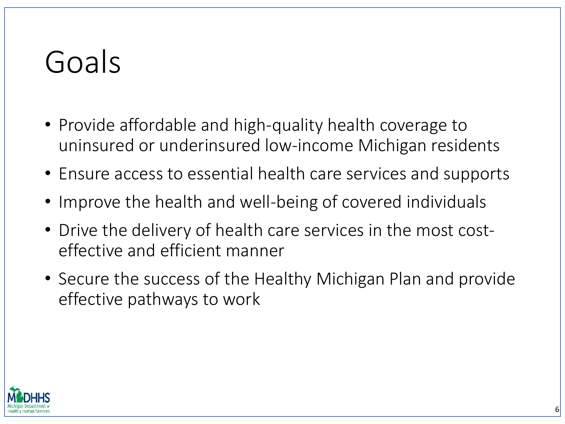## Goals

- Provide affordable and high-quality health coverage to uninsured or underinsured low-income Michigan residents
- Ensure access to essential health care services and supports
- Improve the health and well-being of covered individuals
- Drive the delivery of health care services in the most costeffective and efficient manner
- Secure the success of the Healthy Michigan Plan and provide effective pathways to work

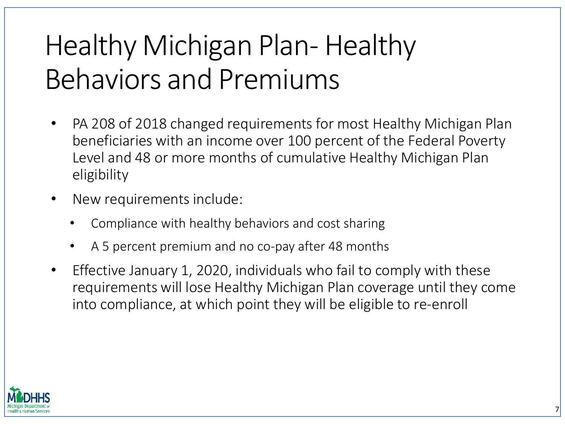### Healthy Michigan Plan- Healthy Behaviors and Premiums

- PA 208 of 2018 changed requirements for most Healthy Michigan Plan beneficiaries with an income over 100 percent of the Federal Poverty Level and 48 or more months of cumulative Healthy Michigan Plan eligibility
- New requirements include:
	- Compliance with healthy behaviors and cost sharing
	- A 5 percent premium and no co-pay after 48 months
- Effective January 1, 2020, individuals who fail to comply with these requirements will lose Healthy Michigan Plan coverage until they come into compliance, at which point they will be eligible to re-enroll

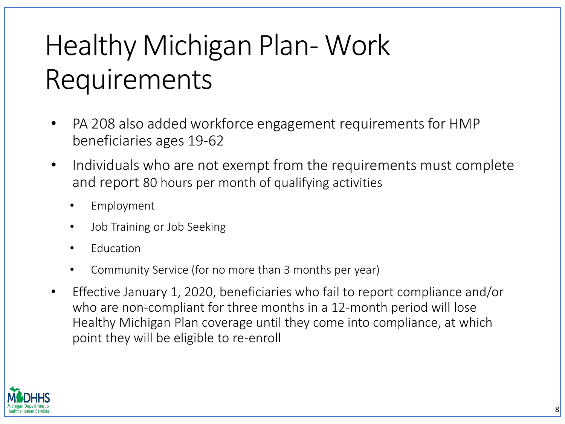### Healthy Michigan Plan- Work Requirements

- PA 208 also added workforce engagement requirements for HMP beneficiaries ages 19-62
- Individuals who are not exempt from the requirements must complete and report 80 hours per month of qualifying activities
	- Employment
	- Job Training or Job Seeking
	- Education
	- Community Service (for no more than 3 months per year)
- Effective January 1, 2020, beneficiaries who fail to report compliance and/or who are non-compliant for three months in a 12-month period will lose Healthy Michigan Plan coverage until they come into compliance, at which point they will be eligible to re-enroll

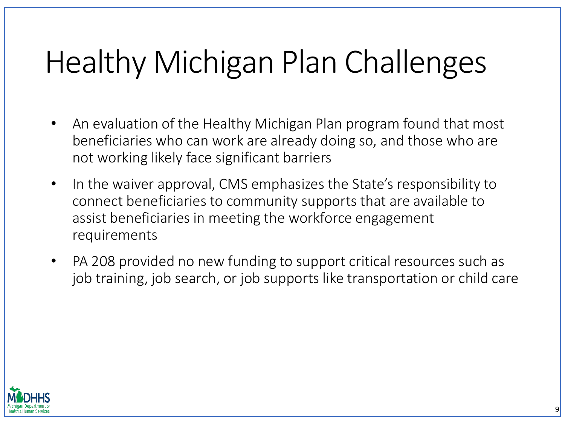## Healthy Michigan Plan Challenges

- An evaluation of the Healthy Michigan Plan program found that most beneficiaries who can work are already doing so, and those who are not working likely face significant barriers
- In the waiver approval, CMS emphasizes the State's responsibility to connect beneficiaries to community supports that are available to assist beneficiaries in meeting the workforce engagement requirements
- PA 208 provided no new funding to support critical resources such as job training, job search, or job supports like transportation or child care

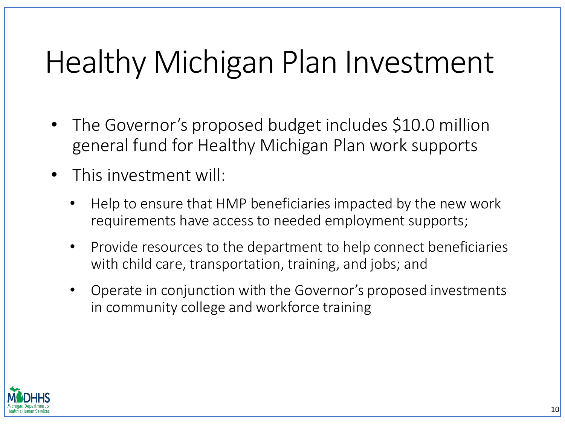## Healthy Michigan Plan Investment

- The Governor's proposed budget includes \$10.0 million general fund for Healthy Michigan Plan work supports
- This investment will:
	- Help to ensure that HMP beneficiaries impacted by the new work requirements have access to needed employment supports;
	- Provide resources to the department to help connect beneficiaries with child care, transportation, training, and jobs; and
	- Operate in conjunction with the Governor's proposed investments in community college and workforce training

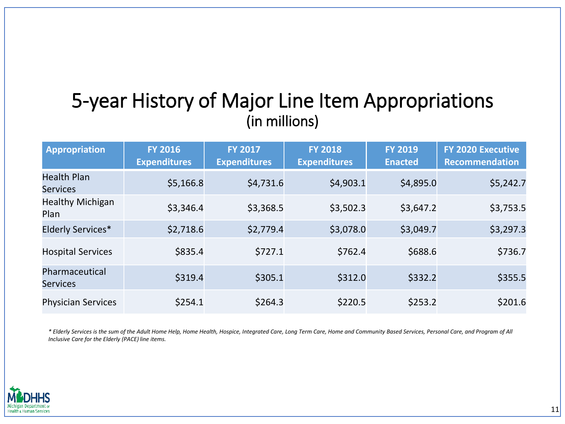#### 5-year History of Major Line Item Appropriations (in millions)

| <b>Appropriation</b>                  | <b>FY 2016</b><br><b>Expenditures</b> | <b>FY 2017</b><br><b>Expenditures</b> | <b>FY 2018</b><br><b>Expenditures</b> | <b>FY 2019</b><br><b>Enacted</b> | <b>FY 2020 Executive</b><br><b>Recommendation</b> |
|---------------------------------------|---------------------------------------|---------------------------------------|---------------------------------------|----------------------------------|---------------------------------------------------|
| <b>Health Plan</b><br><b>Services</b> | \$5,166.8                             | \$4,731.6                             | \$4,903.1                             | \$4,895.0                        | \$5,242.7                                         |
| <b>Healthy Michigan</b><br>Plan       | \$3,346.4                             | \$3,368.5                             | \$3,502.3                             | \$3,647.2                        | \$3,753.5                                         |
| Elderly Services*                     | \$2,718.6                             | \$2,779.4                             | \$3,078.0                             | \$3,049.7                        | \$3,297.3                                         |
| <b>Hospital Services</b>              | \$835.4                               | \$727.1                               | \$762.4                               | \$688.6                          | \$736.7                                           |
| Pharmaceutical<br><b>Services</b>     | \$319.4                               | \$305.1                               | \$312.0                               | \$332.2                          | \$355.5                                           |
| <b>Physician Services</b>             | \$254.1                               | \$264.3                               | \$220.5                               | \$253.2                          | \$201.6                                           |

*\* Elderly Services is the sum of the Adult Home Help, Home Health, Hospice, Integrated Care, Long Term Care, Home and Community Based Services, Personal Care, and Program of All Inclusive Care for the Elderly (PACE) line items.*